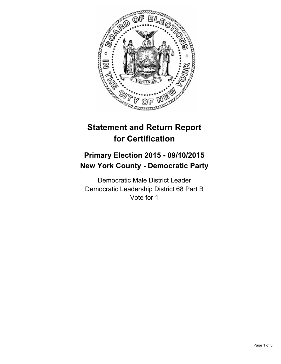

## **Statement and Return Report for Certification**

## **Primary Election 2015 - 09/10/2015 New York County - Democratic Party**

Democratic Male District Leader Democratic Leadership District 68 Part B Vote for 1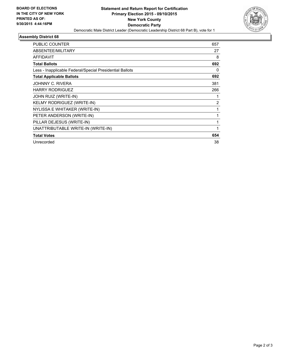

## **Assembly District 68**

| PUBLIC COUNTER                                           | 657 |
|----------------------------------------------------------|-----|
| ABSENTEE/MILITARY                                        | 27  |
| <b>AFFIDAVIT</b>                                         | 8   |
| <b>Total Ballots</b>                                     | 692 |
| Less - Inapplicable Federal/Special Presidential Ballots | 0   |
| <b>Total Applicable Ballots</b>                          | 692 |
| JOHNNY C. RIVERA                                         | 381 |
| <b>HARRY RODRIGUEZ</b>                                   | 266 |
| JOHN RUIZ (WRITE-IN)                                     |     |
| KELMY RODRIGUEZ (WRITE-IN)                               | 2   |
| NYLISSA E WHITAKER (WRITE-IN)                            | 1   |
| PETER ANDERSON (WRITE-IN)                                |     |
| PILLAR DEJESUS (WRITE-IN)                                | 1   |
| UNATTRIBUTABLE WRITE-IN (WRITE-IN)                       | 1   |
| <b>Total Votes</b>                                       | 654 |
| Unrecorded                                               | 38  |